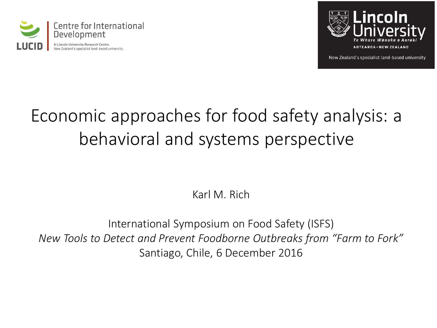



New Zealand's specialist land-based university

### Economic approaches for food safety analysis: a behavioral and systems perspective

Karl M. Rich

International Symposium on Food Safety (ISFS) *New Tools to Detect and Prevent Foodborne Outbreaks from "Farm to Fork"* Santiago, Chile, 6 December 2016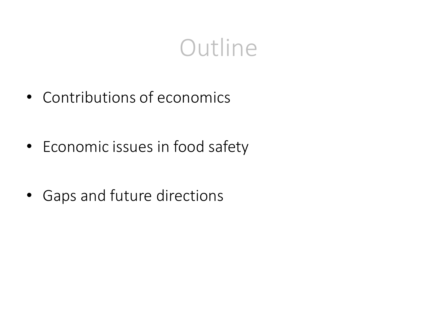### **Outline**

- Contributions of economics
- Economic issues in food safety
- Gaps and future directions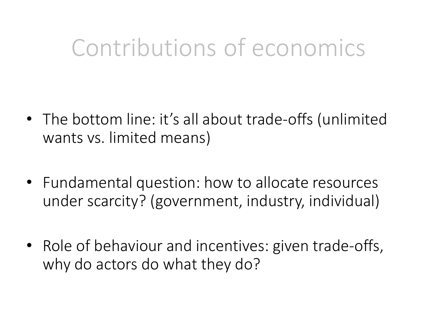### Contributions of economics

- The bottom line: it's all about trade-offs (unlimited wants vs. limited means)
- Fundamental question: how to allocate resources under scarcity? (government, industry, individual)
- Role of behaviour and incentives: given trade-offs, why do actors do what they do?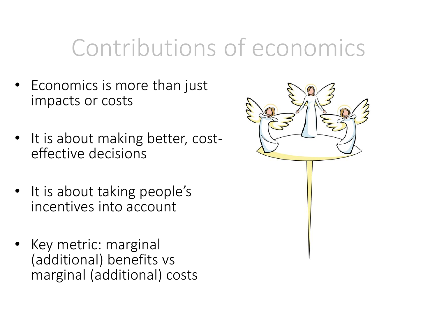### Contributions of economics

- Economics is more than just impacts or costs
- It is about making better, costeffective decisions
- It is about taking people's incentives into account
- Key metric: marginal (additional) benefits vs marginal (additional) costs

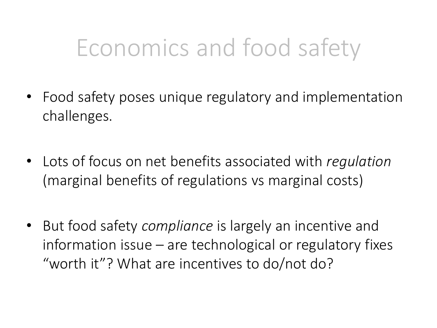- Food safety poses unique regulatory and implementation challenges.
- Lots of focus on net benefits associated with *regulation* (marginal benefits of regulations vs marginal costs)
- But food safety *compliance* is largely an incentive and information issue – are technological or regulatory fixes "worth it"? What are incentives to do/not do?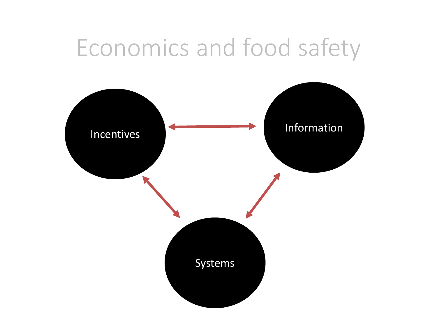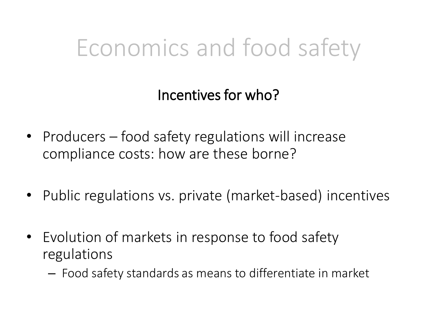Incentives for who?

- Producers food safety regulations will increase compliance costs: how are these borne?
- Public regulations vs. private (market-based) incentives
- Evolution of markets in response to food safety regulations
	- Food safety standards as means to differentiate in market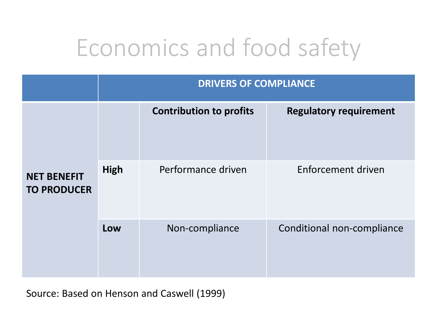|                                          | <b>DRIVERS OF COMPLIANCE</b> |                                |                               |
|------------------------------------------|------------------------------|--------------------------------|-------------------------------|
| <b>NET BENEFIT</b><br><b>TO PRODUCER</b> |                              | <b>Contribution to profits</b> | <b>Regulatory requirement</b> |
|                                          | <b>High</b>                  | Performance driven             | Enforcement driven            |
|                                          | Low                          | Non-compliance                 | Conditional non-compliance    |

Source: Based on Henson and Caswell (1999)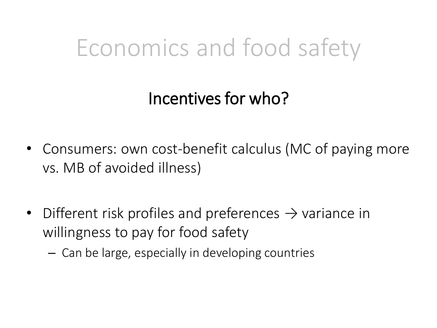#### Incentives for who?

- Consumers: own cost-benefit calculus (MC of paying more vs. MB of avoided illness)
- Different risk profiles and preferences  $\rightarrow$  variance in willingness to pay for food safety
	- Can be large, especially in developing countries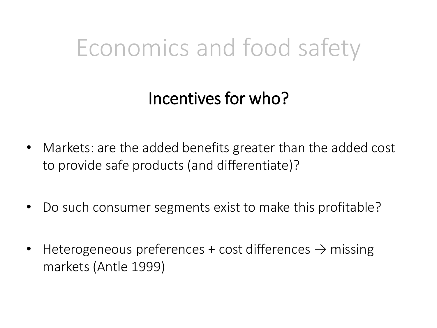#### Incentives for who?

- Markets: are the added benefits greater than the added cost to provide safe products (and differentiate)?
- Do such consumer segments exist to make this profitable?
- Heterogeneous preferences + cost differences  $\rightarrow$  missing markets (Antle 1999)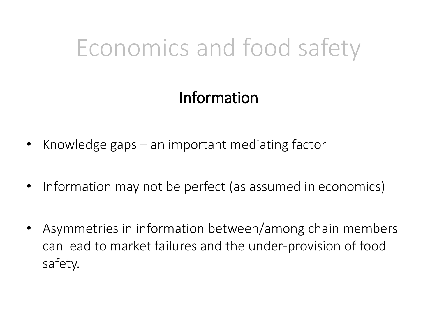#### Information

- Knowledge gaps an important mediating factor
- Information may not be perfect (as assumed in economics)
- Asymmetries in information between/among chain members can lead to market failures and the under-provision of food safety.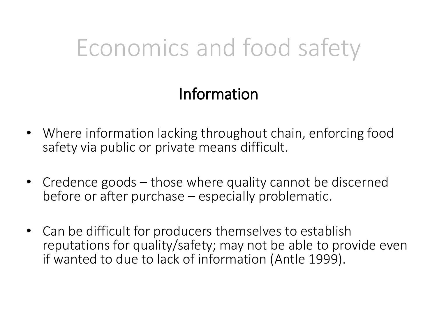#### Information

- Where information lacking throughout chain, enforcing food safety via public or private means difficult.
- Credence goods those where quality cannot be discerned before or after purchase – especially problematic.
- Can be difficult for producers themselves to establish reputations for quality/safety; may not be able to provide even if wanted to due to lack of information (Antle 1999).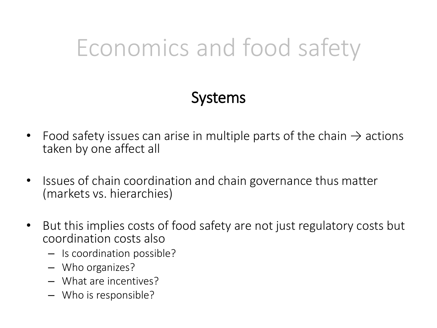#### Systems

- Food safety issues can arise in multiple parts of the chain  $\rightarrow$  actions taken by one affect all
- Issues of chain coordination and chain governance thus matter (markets vs. hierarchies)
- But this implies costs of food safety are not just regulatory costs but coordination costs also
	- Is coordination possible?
	- Who organizes?
	- What are incentives?
	- Who is responsible?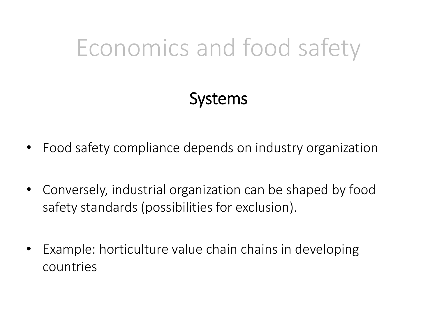#### Systems

- Food safety compliance depends on industry organization
- Conversely, industrial organization can be shaped by food safety standards (possibilities for exclusion).
- Example: horticulture value chain chains in developing countries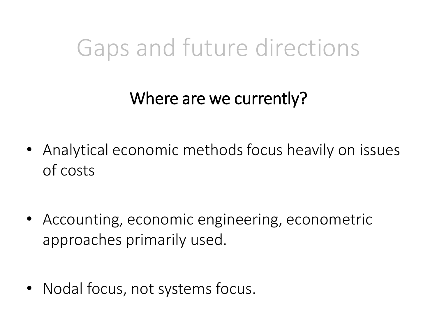### Gaps and future directions

#### Where are we currently?

- Analytical economic methods focus heavily on issues of costs
- Accounting, economic engineering, econometric approaches primarily used.
- Nodal focus, not systems focus.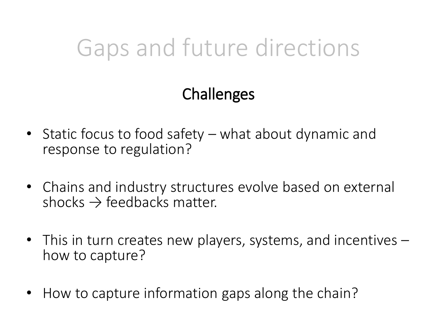## Gaps and future directions

#### **Challenges**

- Static focus to food safety what about dynamic and response to regulation?
- Chains and industry structures evolve based on external shocks  $\rightarrow$  feedbacks matter.
- This in turn creates new players, systems, and incentives how to capture?
- How to capture information gaps along the chain?